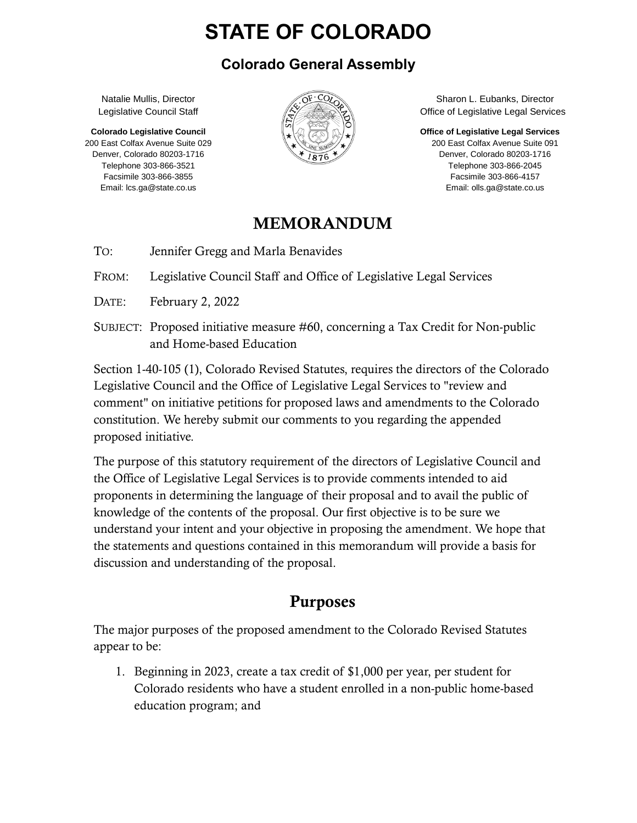# **STATE OF COLORADO**

### **Colorado General Assembly**

Natalie Mullis, Director Legislative Council Staff

**Colorado Legislative Council** 200 East Colfax Avenue Suite 029 Denver, Colorado 80203-1716 Telephone 303-866-3521 Facsimile 303-866-3855 Email: lcs.ga@state.co.us



Sharon L. Eubanks, Director Office of Legislative Legal Services

**Office of Legislative Legal Services**

200 East Colfax Avenue Suite 091 Denver, Colorado 80203-1716 Telephone 303-866-2045 Facsimile 303-866-4157 Email: olls.ga@state.co.us

### MEMORANDUM

TO: Jennifer Gregg and Marla Benavides

FROM: Legislative Council Staff and Office of Legislative Legal Services

- DATE: February 2, 2022
- SUBJECT: Proposed initiative measure #60, concerning a Tax Credit for Non-public and Home-based Education

Section 1-40-105 (1), Colorado Revised Statutes, requires the directors of the Colorado Legislative Council and the Office of Legislative Legal Services to "review and comment" on initiative petitions for proposed laws and amendments to the Colorado constitution. We hereby submit our comments to you regarding the appended proposed initiative.

The purpose of this statutory requirement of the directors of Legislative Council and the Office of Legislative Legal Services is to provide comments intended to aid proponents in determining the language of their proposal and to avail the public of knowledge of the contents of the proposal. Our first objective is to be sure we understand your intent and your objective in proposing the amendment. We hope that the statements and questions contained in this memorandum will provide a basis for discussion and understanding of the proposal.

# Purposes

The major purposes of the proposed amendment to the Colorado Revised Statutes appear to be:

1. Beginning in 2023, create a tax credit of \$1,000 per year, per student for Colorado residents who have a student enrolled in a non-public home-based education program; and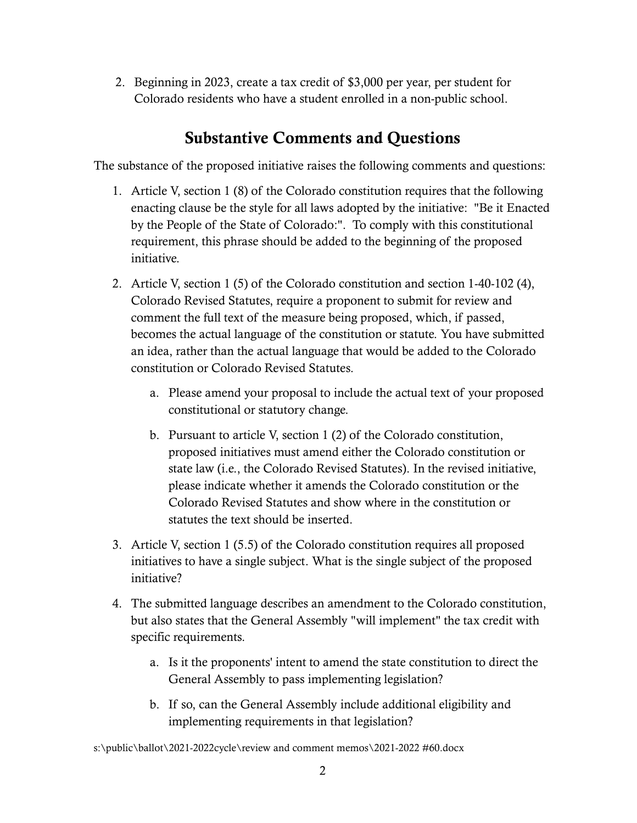2. Beginning in 2023, create a tax credit of \$3,000 per year, per student for Colorado residents who have a student enrolled in a non-public school.

### Substantive Comments and Questions

The substance of the proposed initiative raises the following comments and questions:

- 1. Article V, section 1 (8) of the Colorado constitution requires that the following enacting clause be the style for all laws adopted by the initiative: "Be it Enacted by the People of the State of Colorado:". To comply with this constitutional requirement, this phrase should be added to the beginning of the proposed initiative.
- 2. Article V, section 1 (5) of the Colorado constitution and section 1-40-102 (4), Colorado Revised Statutes, require a proponent to submit for review and comment the full text of the measure being proposed, which, if passed, becomes the actual language of the constitution or statute. You have submitted an idea, rather than the actual language that would be added to the Colorado constitution or Colorado Revised Statutes.
	- a. Please amend your proposal to include the actual text of your proposed constitutional or statutory change.
	- b. Pursuant to article V, section 1 (2) of the Colorado constitution, proposed initiatives must amend either the Colorado constitution or state law (i.e., the Colorado Revised Statutes). In the revised initiative, please indicate whether it amends the Colorado constitution or the Colorado Revised Statutes and show where in the constitution or statutes the text should be inserted.
- 3. Article V, section 1 (5.5) of the Colorado constitution requires all proposed initiatives to have a single subject. What is the single subject of the proposed initiative?
- 4. The submitted language describes an amendment to the Colorado constitution, but also states that the General Assembly "will implement" the tax credit with specific requirements.
	- a. Is it the proponents' intent to amend the state constitution to direct the General Assembly to pass implementing legislation?
	- b. If so, can the General Assembly include additional eligibility and implementing requirements in that legislation?

s:\public\ballot\2021-2022cycle\review and comment memos\2021-2022 #60.docx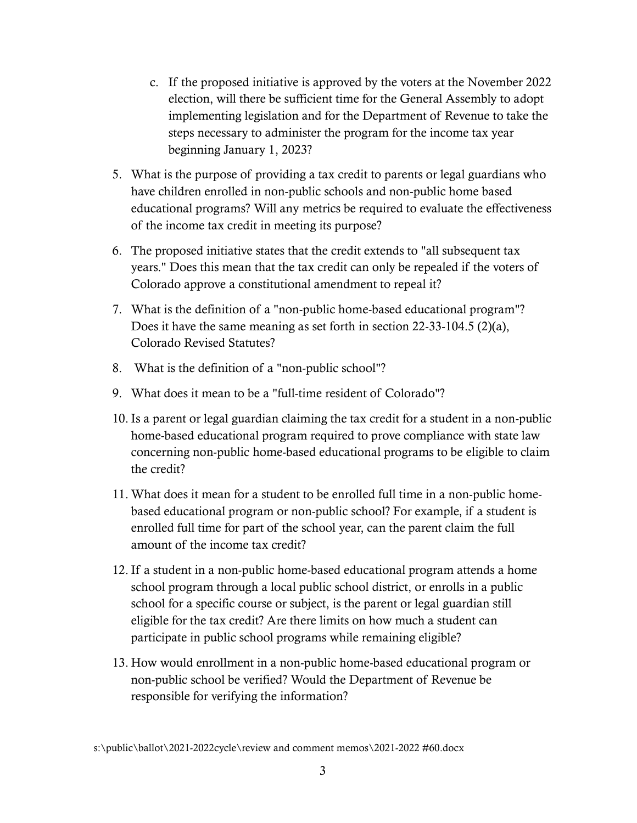- c. If the proposed initiative is approved by the voters at the November 2022 election, will there be sufficient time for the General Assembly to adopt implementing legislation and for the Department of Revenue to take the steps necessary to administer the program for the income tax year beginning January 1, 2023?
- 5. What is the purpose of providing a tax credit to parents or legal guardians who have children enrolled in non-public schools and non-public home based educational programs? Will any metrics be required to evaluate the effectiveness of the income tax credit in meeting its purpose?
- 6. The proposed initiative states that the credit extends to "all subsequent tax years." Does this mean that the tax credit can only be repealed if the voters of Colorado approve a constitutional amendment to repeal it?
- 7. What is the definition of a "non-public home-based educational program"? Does it have the same meaning as set forth in section 22-33-104.5 (2)(a), Colorado Revised Statutes?
- 8. What is the definition of a "non-public school"?
- 9. What does it mean to be a "full-time resident of Colorado"?
- 10. Is a parent or legal guardian claiming the tax credit for a student in a non-public home-based educational program required to prove compliance with state law concerning non-public home-based educational programs to be eligible to claim the credit?
- 11. What does it mean for a student to be enrolled full time in a non-public homebased educational program or non-public school? For example, if a student is enrolled full time for part of the school year, can the parent claim the full amount of the income tax credit?
- 12. If a student in a non-public home-based educational program attends a home school program through a local public school district, or enrolls in a public school for a specific course or subject, is the parent or legal guardian still eligible for the tax credit? Are there limits on how much a student can participate in public school programs while remaining eligible?
- 13. How would enrollment in a non-public home-based educational program or non-public school be verified? Would the Department of Revenue be responsible for verifying the information?

s:\public\ballot\2021-2022cycle\review and comment memos\2021-2022 #60.docx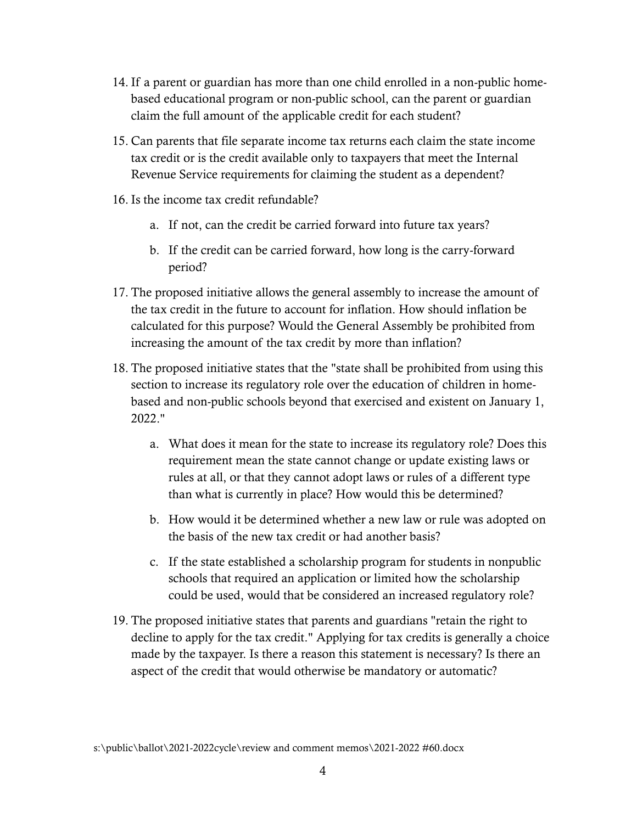- 14. If a parent or guardian has more than one child enrolled in a non-public homebased educational program or non-public school, can the parent or guardian claim the full amount of the applicable credit for each student?
- 15. Can parents that file separate income tax returns each claim the state income tax credit or is the credit available only to taxpayers that meet the Internal Revenue Service requirements for claiming the student as a dependent?
- 16. Is the income tax credit refundable?
	- a. If not, can the credit be carried forward into future tax years?
	- b. If the credit can be carried forward, how long is the carry-forward period?
- 17. The proposed initiative allows the general assembly to increase the amount of the tax credit in the future to account for inflation. How should inflation be calculated for this purpose? Would the General Assembly be prohibited from increasing the amount of the tax credit by more than inflation?
- 18. The proposed initiative states that the "state shall be prohibited from using this section to increase its regulatory role over the education of children in homebased and non-public schools beyond that exercised and existent on January 1, 2022."
	- a. What does it mean for the state to increase its regulatory role? Does this requirement mean the state cannot change or update existing laws or rules at all, or that they cannot adopt laws or rules of a different type than what is currently in place? How would this be determined?
	- b. How would it be determined whether a new law or rule was adopted on the basis of the new tax credit or had another basis?
	- c. If the state established a scholarship program for students in nonpublic schools that required an application or limited how the scholarship could be used, would that be considered an increased regulatory role?
- 19. The proposed initiative states that parents and guardians "retain the right to decline to apply for the tax credit." Applying for tax credits is generally a choice made by the taxpayer. Is there a reason this statement is necessary? Is there an aspect of the credit that would otherwise be mandatory or automatic?